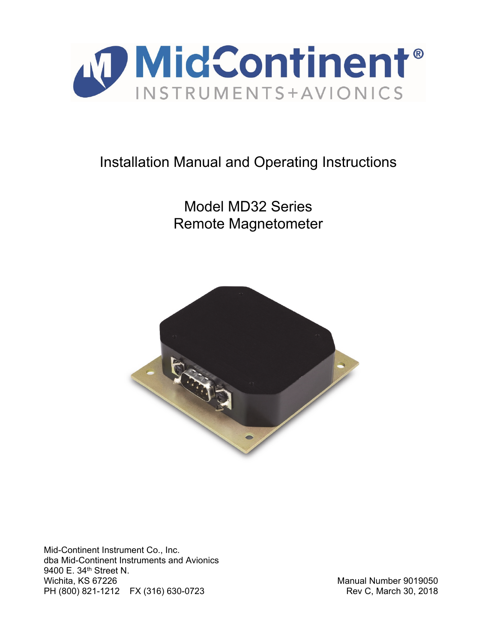

# Installation Manual and Operating Instructions

Model MD32 Series Remote Magnetometer



Mid-Continent Instrument Co., Inc. dba Mid-Continent Instruments and Avionics 9400 E. 34<sup>th</sup> Street N. Wichita, KS 67226 Manual Number 9019050 PH (800) 821-1212 FX (316) 630-0723 Rev C, March 30, 2018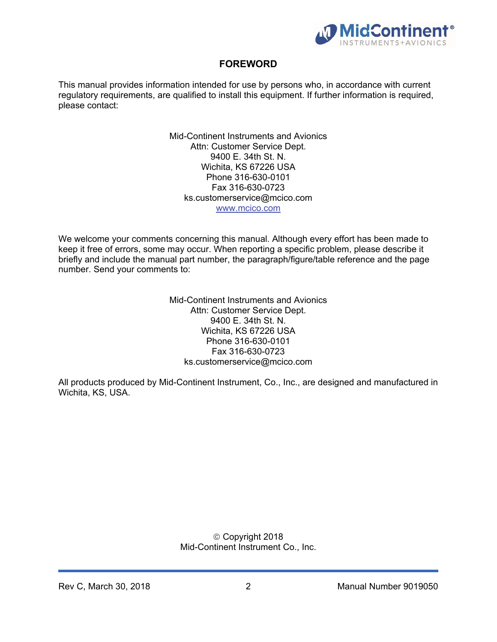

# **FOREWORD**

This manual provides information intended for use by persons who, in accordance with current regulatory requirements, are qualified to install this equipment. If further information is required, please contact:

> Mid-Continent Instruments and Avionics Attn: Customer Service Dept. 9400 E. 34th St. N. Wichita, KS 67226 USA Phone 316-630-0101 Fax 316-630-0723 ks.customerservice@mcico.com www.mcico.com

We welcome your comments concerning this manual. Although every effort has been made to keep it free of errors, some may occur. When reporting a specific problem, please describe it briefly and include the manual part number, the paragraph/figure/table reference and the page number. Send your comments to:

> Mid-Continent Instruments and Avionics Attn: Customer Service Dept. 9400 E. 34th St. N. Wichita, KS 67226 USA Phone 316-630-0101 Fax 316-630-0723 ks.customerservice@mcico.com

All products produced by Mid-Continent Instrument, Co., Inc., are designed and manufactured in Wichita, KS, USA.

#### Copyright 2018 Mid-Continent Instrument Co., Inc.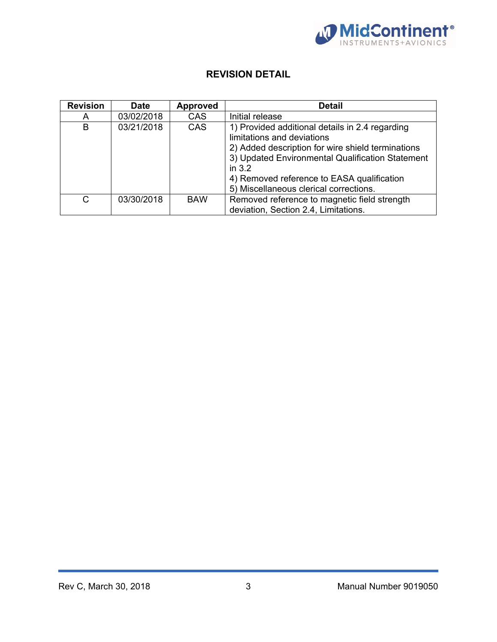

# **REVISION DETAIL**

| <b>Revision</b> | <b>Date</b> | <b>Approved</b> | <b>Detail</b>                                                                                                                                                                                                                                                                              |
|-----------------|-------------|-----------------|--------------------------------------------------------------------------------------------------------------------------------------------------------------------------------------------------------------------------------------------------------------------------------------------|
| A               | 03/02/2018  | <b>CAS</b>      | Initial release                                                                                                                                                                                                                                                                            |
| B               | 03/21/2018  | <b>CAS</b>      | 1) Provided additional details in 2.4 regarding<br>limitations and deviations<br>2) Added description for wire shield terminations<br>3) Updated Environmental Qualification Statement<br>in $3.2$<br>4) Removed reference to EASA qualification<br>5) Miscellaneous clerical corrections. |
| C               | 03/30/2018  | <b>BAW</b>      | Removed reference to magnetic field strength<br>deviation, Section 2.4, Limitations.                                                                                                                                                                                                       |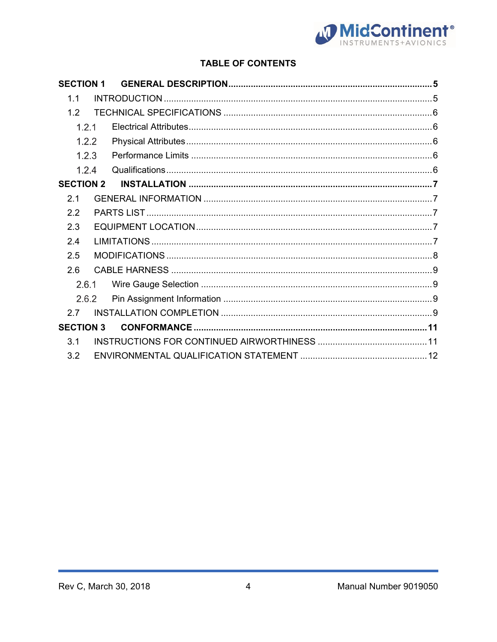

# **TABLE OF CONTENTS**

| <b>SECTION 1</b> |  |  |
|------------------|--|--|
| 11               |  |  |
| 1.2              |  |  |
| 1.2.1            |  |  |
| 1.2.2            |  |  |
| 1.2.3            |  |  |
| 1.2.4            |  |  |
| <b>SECTION 2</b> |  |  |
| 2.1              |  |  |
| 22               |  |  |
| 2.3              |  |  |
| 2.4              |  |  |
| 2.5              |  |  |
| 2.6              |  |  |
| 2.6.1            |  |  |
| 2.6.2            |  |  |
| 27               |  |  |
| <b>SECTION 3</b> |  |  |
| 3.1              |  |  |
| 3.2              |  |  |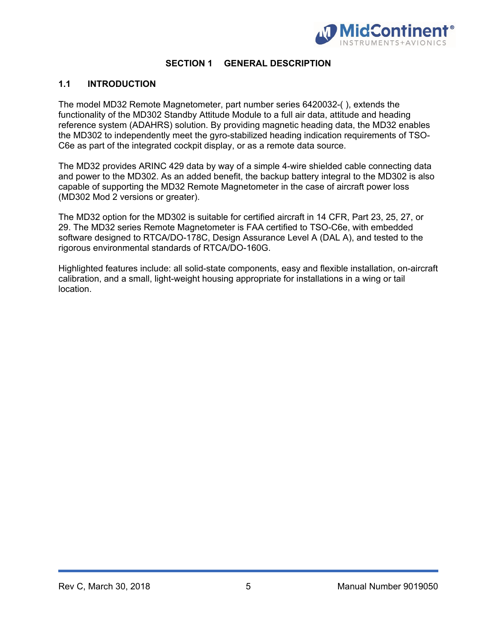

#### **SECTION 1 GENERAL DESCRIPTION**

#### **1.1 INTRODUCTION**

The model MD32 Remote Magnetometer, part number series 6420032-( ), extends the functionality of the MD302 Standby Attitude Module to a full air data, attitude and heading reference system (ADAHRS) solution. By providing magnetic heading data, the MD32 enables the MD302 to independently meet the gyro-stabilized heading indication requirements of TSO-C6e as part of the integrated cockpit display, or as a remote data source.

The MD32 provides ARINC 429 data by way of a simple 4-wire shielded cable connecting data and power to the MD302. As an added benefit, the backup battery integral to the MD302 is also capable of supporting the MD32 Remote Magnetometer in the case of aircraft power loss (MD302 Mod 2 versions or greater).

The MD32 option for the MD302 is suitable for certified aircraft in 14 CFR, Part 23, 25, 27, or 29. The MD32 series Remote Magnetometer is FAA certified to TSO-C6e, with embedded software designed to RTCA/DO-178C, Design Assurance Level A (DAL A), and tested to the rigorous environmental standards of RTCA/DO-160G.

Highlighted features include: all solid-state components, easy and flexible installation, on-aircraft calibration, and a small, light-weight housing appropriate for installations in a wing or tail location.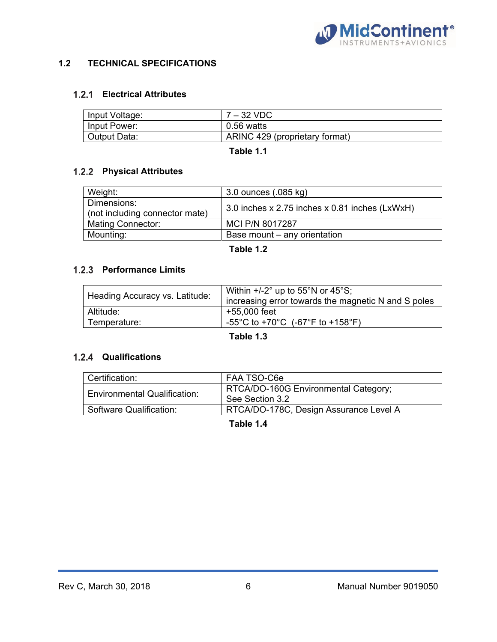

## **1.2 TECHNICAL SPECIFICATIONS**

## **Electrical Attributes**

| Input Voltage: | $7 - 32$ VDC                   |
|----------------|--------------------------------|
| Input Power:   | $0.56$ watts                   |
| Output Data:   | ARINC 429 (proprietary format) |

**Table 1.1** 

## **Physical Attributes**

| Weight:                                       | 3.0 ounces $(.085 \text{ kg})$                 |  |
|-----------------------------------------------|------------------------------------------------|--|
| Dimensions:<br>(not including connector mate) | 3.0 inches x 2.75 inches x 0.81 inches (LxWxH) |  |
| <b>Mating Connector:</b>                      | MCI P/N 8017287                                |  |
| Mounting:                                     | Base mount – any orientation                   |  |

**Table 1.2** 

## **1.2.3 Performance Limits**

|                                | Within $+/-2^{\circ}$ up to 55 $^{\circ}$ N or 45 $^{\circ}$ S; |
|--------------------------------|-----------------------------------------------------------------|
| Heading Accuracy vs. Latitude: | increasing error towards the magnetic N and S poles             |
| Altitude:                      | +55,000 feet                                                    |
| Temperature:                   | -55°C to +70°C (-67°F to +158°F)                                |

#### **Table 1.3**

#### **Qualifications**

| Certification:                      | FAA TSO-C6e                                             |  |  |  |
|-------------------------------------|---------------------------------------------------------|--|--|--|
| <b>Environmental Qualification:</b> | RTCA/DO-160G Environmental Category;<br>See Section 3.2 |  |  |  |
| Software Qualification:             | RTCA/DO-178C, Design Assurance Level A                  |  |  |  |

**Table 1.4**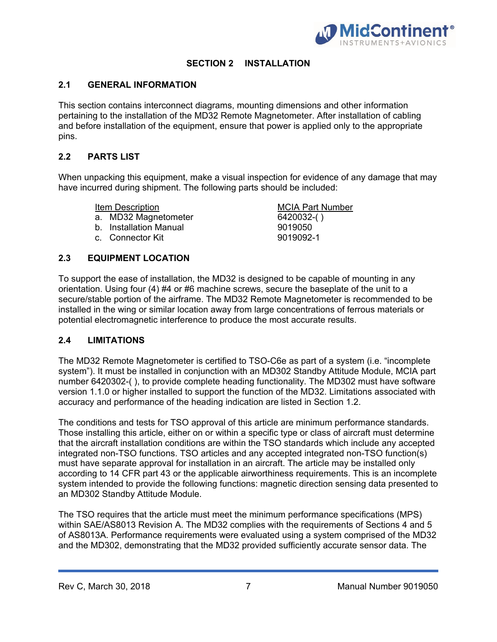

## **SECTION 2 INSTALLATION**

#### **2.1 GENERAL INFORMATION**

This section contains interconnect diagrams, mounting dimensions and other information pertaining to the installation of the MD32 Remote Magnetometer. After installation of cabling and before installation of the equipment, ensure that power is applied only to the appropriate pins.

#### **2.2 PARTS LIST**

When unpacking this equipment, make a visual inspection for evidence of any damage that may have incurred during shipment. The following parts should be included:

Item Description MCIA Part Number

- a. MD32 Magnetometer 6420032-( )
- b. Installation Manual 9019050
- c. Connector Kit 9019092-1

**2.3 EQUIPMENT LOCATION** 

To support the ease of installation, the MD32 is designed to be capable of mounting in any orientation. Using four (4) #4 or #6 machine screws, secure the baseplate of the unit to a secure/stable portion of the airframe. The MD32 Remote Magnetometer is recommended to be installed in the wing or similar location away from large concentrations of ferrous materials or potential electromagnetic interference to produce the most accurate results.

#### **2.4 LIMITATIONS**

The MD32 Remote Magnetometer is certified to TSO-C6e as part of a system (i.e. "incomplete system"). It must be installed in conjunction with an MD302 Standby Attitude Module, MCIA part number 6420302-( ), to provide complete heading functionality. The MD302 must have software version 1.1.0 or higher installed to support the function of the MD32. Limitations associated with accuracy and performance of the heading indication are listed in Section 1.2.

The conditions and tests for TSO approval of this article are minimum performance standards. Those installing this article, either on or within a specific type or class of aircraft must determine that the aircraft installation conditions are within the TSO standards which include any accepted integrated non-TSO functions. TSO articles and any accepted integrated non-TSO function(s) must have separate approval for installation in an aircraft. The article may be installed only according to 14 CFR part 43 or the applicable airworthiness requirements. This is an incomplete system intended to provide the following functions: magnetic direction sensing data presented to an MD302 Standby Attitude Module.

The TSO requires that the article must meet the minimum performance specifications (MPS) within SAE/AS8013 Revision A. The MD32 complies with the requirements of Sections 4 and 5 of AS8013A. Performance requirements were evaluated using a system comprised of the MD32 and the MD302, demonstrating that the MD32 provided sufficiently accurate sensor data. The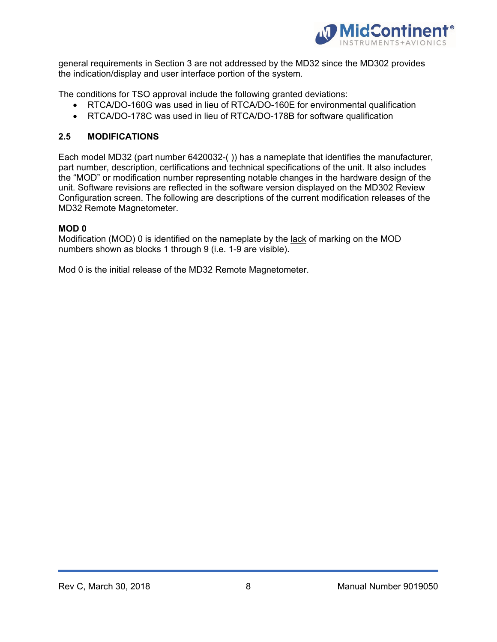

general requirements in Section 3 are not addressed by the MD32 since the MD302 provides the indication/display and user interface portion of the system.

The conditions for TSO approval include the following granted deviations:

- RTCA/DO-160G was used in lieu of RTCA/DO-160E for environmental qualification
- RTCA/DO-178C was used in lieu of RTCA/DO-178B for software qualification

#### **2.5 MODIFICATIONS**

Each model MD32 (part number 6420032-( )) has a nameplate that identifies the manufacturer, part number, description, certifications and technical specifications of the unit. It also includes the "MOD" or modification number representing notable changes in the hardware design of the unit. Software revisions are reflected in the software version displayed on the MD302 Review Configuration screen. The following are descriptions of the current modification releases of the MD32 Remote Magnetometer.

#### **MOD 0**

Modification (MOD) 0 is identified on the nameplate by the lack of marking on the MOD numbers shown as blocks 1 through 9 (i.e. 1-9 are visible).

Mod 0 is the initial release of the MD32 Remote Magnetometer.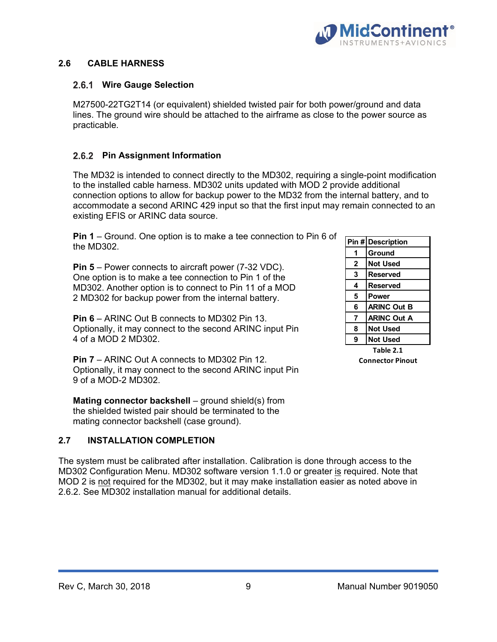

#### **2.6 CABLE HARNESS**

#### 2.6.1 Wire Gauge Selection

M27500-22TG2T14 (or equivalent) shielded twisted pair for both power/ground and data lines. The ground wire should be attached to the airframe as close to the power source as practicable.

## **2.6.2 Pin Assignment Information**

The MD32 is intended to connect directly to the MD302, requiring a single-point modification to the installed cable harness. MD302 units updated with MOD 2 provide additional connection options to allow for backup power to the MD32 from the internal battery, and to accommodate a second ARINC 429 input so that the first input may remain connected to an existing EFIS or ARINC data source.

**Pin 1** – Ground. One option is to make a tee connection to Pin 6 of the MD302.

**Pin 5** – Power connects to aircraft power (7-32 VDC). One option is to make a tee connection to Pin 1 of the MD302. Another option is to connect to Pin 11 of a MOD 2 MD302 for backup power from the internal battery.

**Pin 6** – ARINC Out B connects to MD302 Pin 13. Optionally, it may connect to the second ARINC input Pin 4 of a MOD 2 MD302.

**Pin 7** – ARINC Out A connects to MD302 Pin 12. Optionally, it may connect to the second ARINC input Pin 9 of a MOD-2 MD302.

**Mating connector backshell** – ground shield(s) from the shielded twisted pair should be terminated to the mating connector backshell (case ground).

#### **2.7 INSTALLATION COMPLETION**

The system must be calibrated after installation. Calibration is done through access to the MD302 Configuration Menu. MD302 software version 1.1.0 or greater is required. Note that MOD 2 is not required for the MD302, but it may make installation easier as noted above in 2.6.2. See MD302 installation manual for additional details.

|              | Pin # Description  |  |  |
|--------------|--------------------|--|--|
|              | Ground             |  |  |
| $\mathbf{2}$ | <b>Not Used</b>    |  |  |
| 3            | <b>Reserved</b>    |  |  |
| 4            | <b>Reserved</b>    |  |  |
| 5            | Power              |  |  |
| 6            | <b>ARINC Out B</b> |  |  |
| 7            | <b>ARINC Out A</b> |  |  |
| 8            | <b>Not Used</b>    |  |  |
| 9            | <b>Not Used</b>    |  |  |

**Table 2.1 Connector Pinout**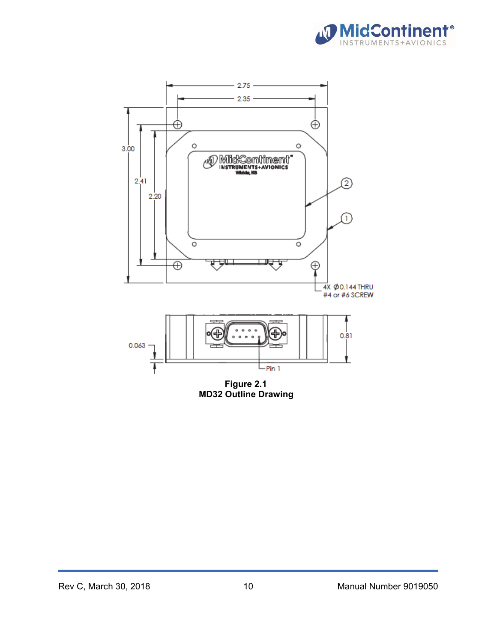



**MD32 Outline Drawing**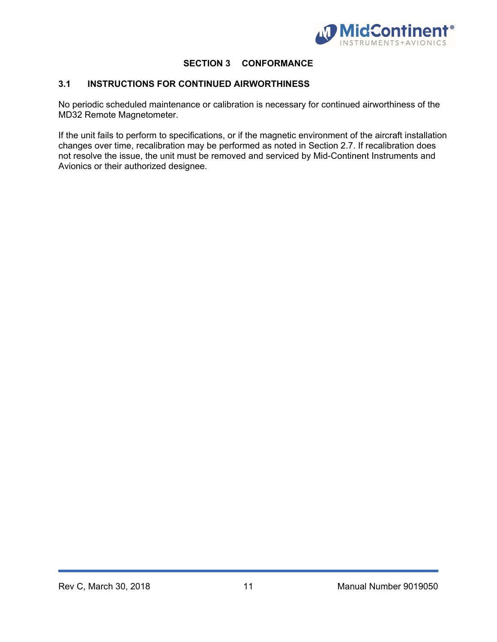

## **SECTION 3 CONFORMANCE**

## **3.1 INSTRUCTIONS FOR CONTINUED AIRWORTHINESS**

No periodic scheduled maintenance or calibration is necessary for continued airworthiness of the MD32 Remote Magnetometer.

If the unit fails to perform to specifications, or if the magnetic environment of the aircraft installation changes over time, recalibration may be performed as noted in Section 2.7. If recalibration does not resolve the issue, the unit must be removed and serviced by Mid-Continent Instruments and Avionics or their authorized designee.